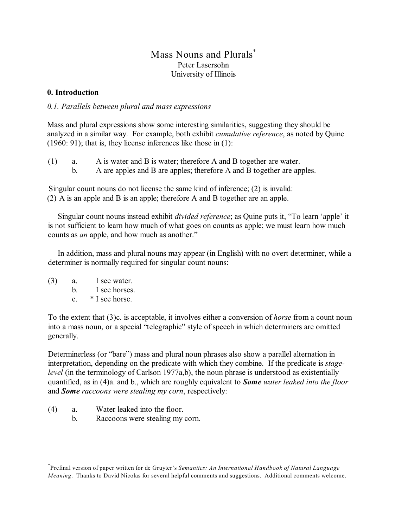# Mass Nouns and Plurals<sup>\*</sup> Peter Lasersohn University of Illinois

# **0. Introduction**

*0.1. Parallels between plural and mass expressions*

Mass and plural expressions show some interesting similarities, suggesting they should be analyzed in a similar way. For example, both exhibit *cumulative reference*, as noted by Quine (1960: 91); that is, they license inferences like those in (1):

(1) a. A is water and B is water; therefore A and B together are water. b. A are apples and B are apples; therefore A and B together are apples.

Singular count nouns do not license the same kind of inference; (2) is invalid: (2) A is an apple and B is an apple; therefore A and B together are an apple.

Singular count nouns instead exhibit *divided reference*; as Quine puts it, "To learn 'apple' it is not sufficient to learn how much of what goes on counts as apple; we must learn how much counts as *an* apple, and how much as another."

In addition, mass and plural nouns may appear (in English) with no overt determiner, while a determiner is normally required for singular count nouns:

(3) a. I see water. b. I see horses. c. \* I see horse.

To the extent that (3)c. is acceptable, it involves either a conversion of *horse* from a count noun into a mass noun, or a special "telegraphic" style of speech in which determiners are omitted generally.

Determinerless (or "bare") mass and plural noun phrases also show a parallel alternation in interpretation, depending on the predicate with which they combine. If the predicate is *stagelevel* (in the terminology of Carlson 1977a,b), the noun phrase is understood as existentially quantified, as in (4)a. and b., which are roughly equivalent to *Some water leaked into the floor* and *Some raccoons were stealing my corn*, respectively:

- (4) a. Water leaked into the floor.
	- b. Raccoons were stealing my corn.

Prefinal version of paper written for de Gruyter's *Semantics: An International Handbook of Natural Language* \* *Meaning*. Thanks to David Nicolas for several helpful comments and suggestions. Additional comments welcome.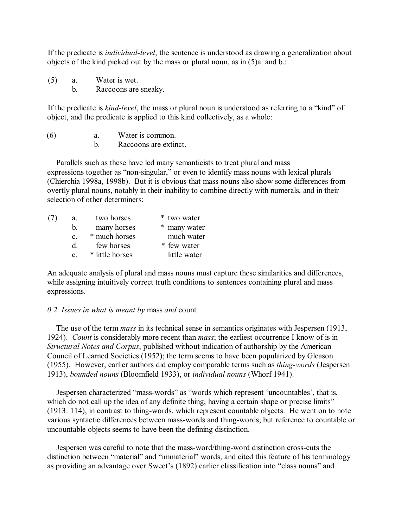If the predicate is *individual-level*, the sentence is understood as drawing a generalization about objects of the kind picked out by the mass or plural noun, as in (5)a. and b.:

(5) a. Water is wet.

b. Raccoons are sneaky.

If the predicate is *kind-level*, the mass or plural noun is understood as referring to a "kind" of object, and the predicate is applied to this kind collectively, as a whole:

(6) a. Water is common.

b. Raccoons are extinct.

Parallels such as these have led many semanticists to treat plural and mass expressions together as "non-singular," or even to identify mass nouns with lexical plurals (Chierchia 1998a, 1998b). But it is obvious that mass nouns also show some differences from overtly plural nouns, notably in their inability to combine directly with numerals, and in their selection of other determiners:

| (7) | a.             | two horses      | * two water  |
|-----|----------------|-----------------|--------------|
|     | b.             | many horses     | * many water |
|     | $\mathbf{c}$ . | * much horses   | much water   |
|     | d.             | few horses      | * few water  |
|     | e.             | * little horses | little water |

An adequate analysis of plural and mass nouns must capture these similarities and differences, while assigning intuitively correct truth conditions to sentences containing plural and mass expressions.

### *0.2. Issues in what is meant by* mass *and* count

The use of the term *mass* in its technical sense in semantics originates with Jespersen (1913, 1924). *Count* is considerably more recent than *mass*; the earliest occurrence I know of is in *Structural Notes and Corpus*, published without indication of authorship by the American Council of Learned Societies (1952); the term seems to have been popularized by Gleason (1955). However, earlier authors did employ comparable terms such as *thing-words* (Jespersen 1913), *bounded nouns* (Bloomfield 1933), or *individual nouns* (Whorf 1941).

Jespersen characterized "mass-words" as "words which represent 'uncountables', that is, which do not call up the idea of any definite thing, having a certain shape or precise limits" (1913: 114), in contrast to thing-words, which represent countable objects. He went on to note various syntactic differences between mass-words and thing-words; but reference to countable or uncountable objects seems to have been the defining distinction.

Jespersen was careful to note that the mass-word/thing-word distinction cross-cuts the distinction between "material" and "immaterial" words, and cited this feature of his terminology as providing an advantage over Sweet's (1892) earlier classification into "class nouns" and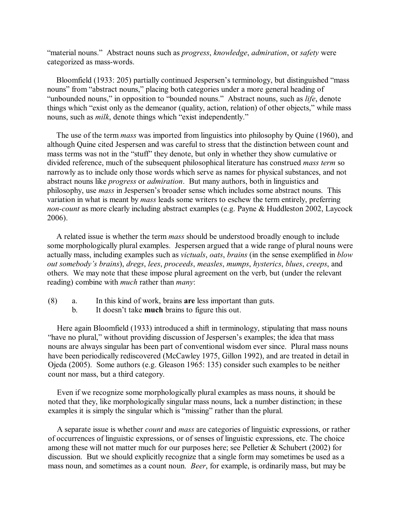"material nouns." Abstract nouns such as *progress*, *knowledge*, *admiration*, or *safety* were categorized as mass-words.

Bloomfield (1933: 205) partially continued Jespersen's terminology, but distinguished "mass nouns" from "abstract nouns," placing both categories under a more general heading of "unbounded nouns," in opposition to "bounded nouns." Abstract nouns, such as *life*, denote things which "exist only as the demeanor (quality, action, relation) of other objects," while mass nouns, such as *milk*, denote things which "exist independently."

The use of the term *mass* was imported from linguistics into philosophy by Quine (1960), and although Quine cited Jespersen and was careful to stress that the distinction between count and mass terms was not in the "stuff" they denote, but only in whether they show cumulative or divided reference, much of the subsequent philosophical literature has construed *mass term* so narrowly as to include only those words which serve as names for physical substances, and not abstract nouns like *progress* or *admiration*. But many authors, both in linguistics and philosophy, use *mass* in Jespersen's broader sense which includes some abstract nouns. This variation in what is meant by *mass* leads some writers to eschew the term entirely, preferring *non-count* as more clearly including abstract examples (e.g. Payne & Huddleston 2002, Laycock 2006).

A related issue is whether the term *mass* should be understood broadly enough to include some morphologically plural examples. Jespersen argued that a wide range of plural nouns were actually mass, including examples such as *victuals*, *oats*, *brains* (in the sense exemplified in *blow out somebody's brains*), *dregs*, *lees*, *proceeds*, *measles*, *mumps*, *hysterics*, *blues*, *creeps*, and others. We may note that these impose plural agreement on the verb, but (under the relevant reading) combine with *much* rather than *many*:

- (8) a. In this kind of work, brains **are** less important than guts.
	- b. It doesn't take **much** brains to figure this out.

Here again Bloomfield (1933) introduced a shift in terminology, stipulating that mass nouns "have no plural," without providing discussion of Jespersen's examples; the idea that mass nouns are always singular has been part of conventional wisdom ever since. Plural mass nouns have been periodically rediscovered (McCawley 1975, Gillon 1992), and are treated in detail in Ojeda (2005). Some authors (e.g. Gleason 1965: 135) consider such examples to be neither count nor mass, but a third category.

Even if we recognize some morphologically plural examples as mass nouns, it should be noted that they, like morphologically singular mass nouns, lack a number distinction; in these examples it is simply the singular which is "missing" rather than the plural.

A separate issue is whether *count* and *mass* are categories of linguistic expressions, or rather of occurrences of linguistic expressions, or of senses of linguistic expressions, etc. The choice among these will not matter much for our purposes here; see Pelletier  $&$  Schubert (2002) for discussion. But we should explicitly recognize that a single form may sometimes be used as a mass noun, and sometimes as a count noun. *Beer*, for example, is ordinarily mass, but may be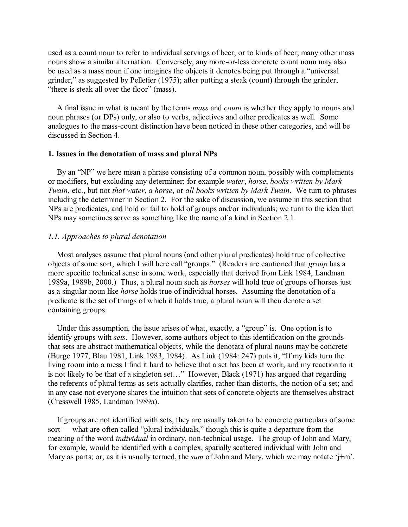used as a count noun to refer to individual servings of beer, or to kinds of beer; many other mass nouns show a similar alternation. Conversely, any more-or-less concrete count noun may also be used as a mass noun if one imagines the objects it denotes being put through a "universal grinder," as suggested by Pelletier (1975); after putting a steak (count) through the grinder, "there is steak all over the floor" (mass).

A final issue in what is meant by the terms *mass* and *count* is whether they apply to nouns and noun phrases (or DPs) only, or also to verbs, adjectives and other predicates as well. Some analogues to the mass-count distinction have been noticed in these other categories, and will be discussed in Section 4.

#### **1. Issues in the denotation of mass and plural NPs**

By an "NP" we here mean a phrase consisting of a common noun, possibly with complements or modifiers, but excluding any determiner; for example *water*, *horse*, *books written by Mark Twain*, etc., but not *that water*, *a horse*, or *all books written by Mark Twain*. We turn to phrases including the determiner in Section 2. For the sake of discussion, we assume in this section that NPs are predicates, and hold or fail to hold of groups and/or individuals; we turn to the idea that NPs may sometimes serve as something like the name of a kind in Section 2.1.

### *1.1. Approaches to plural denotation*

Most analyses assume that plural nouns (and other plural predicates) hold true of collective objects of some sort, which I will here call "groups." (Readers are cautioned that *group* has a more specific technical sense in some work, especially that derived from Link 1984, Landman 1989a, 1989b, 2000.) Thus, a plural noun such as *horses* will hold true of groups of horses just as a singular noun like *horse* holds true of individual horses. Assuming the denotation of a predicate is the set of things of which it holds true, a plural noun will then denote a set containing groups.

Under this assumption, the issue arises of what, exactly, a "group" is. One option is to identify groups with *sets*. However, some authors object to this identification on the grounds that sets are abstract mathematical objects, while the denotata of plural nouns may be concrete (Burge 1977, Blau 1981, Link 1983, 1984). As Link (1984: 247) puts it, "If my kids turn the living room into a mess I find it hard to believe that a set has been at work, and my reaction to it is not likely to be that of a singleton set…" However, Black (1971) has argued that regarding the referents of plural terms as sets actually clarifies, rather than distorts, the notion of a set; and in any case not everyone shares the intuition that sets of concrete objects are themselves abstract (Cresswell 1985, Landman 1989a).

If groups are not identified with sets, they are usually taken to be concrete particulars of some sort — what are often called "plural individuals," though this is quite a departure from the meaning of the word *individual* in ordinary, non-technical usage. The group of John and Mary, for example, would be identified with a complex, spatially scattered individual with John and Mary as parts; or, as it is usually termed, the *sum* of John and Mary, which we may notate 'j+m'.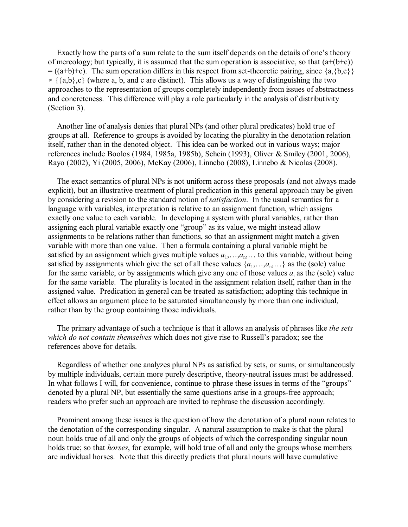Exactly how the parts of a sum relate to the sum itself depends on the details of one's theory of mereology; but typically, it is assumed that the sum operation is associative, so that  $(a+(b+c))$  $= ((a+b)+c)$ . The sum operation differs in this respect from set-theoretic pairing, since  $\{a,\{b,c\}\}\$  $\neq \{\{a,b\},c\}$  (where a, b, and c are distinct). This allows us a way of distinguishing the two approaches to the representation of groups completely independently from issues of abstractness and concreteness. This difference will play a role particularly in the analysis of distributivity (Section 3).

Another line of analysis denies that plural NPs (and other plural predicates) hold true of groups at all. Reference to groups is avoided by locating the plurality in the denotation relation itself, rather than in the denoted object. This idea can be worked out in various ways; major references include Boolos (1984, 1985a, 1985b), Schein (1993), Oliver & Smiley (2001, 2006), Rayo (2002), Yi (2005, 2006), McKay (2006), Linnebo (2008), Linnebo & Nicolas (2008).

The exact semantics of plural NPs is not uniform across these proposals (and not always made explicit), but an illustrative treatment of plural predication in this general approach may be given by considering a revision to the standard notion of *satisfaction*. In the usual semantics for a language with variables, interpretation is relative to an assignment function, which assigns exactly one value to each variable. In developing a system with plural variables, rather than assigning each plural variable exactly one "group" as its value, we might instead allow assignments to be relations rather than functions, so that an assignment might match a given variable with more than one value. Then a formula containing a plural variable might be satisfied by an assignment which gives multiple values  $a_1, \ldots, a_n, \ldots$  to this variable, without being satisfied by assignments which give the set of all these values  $\{a_1, \ldots, a_n, \ldots\}$  as the (sole) value for the same variable, or by assignments which give any one of those values  $a_i$  as the (sole) value for the same variable. The plurality is located in the assignment relation itself, rather than in the assigned value. Predication in general can be treated as satisfaction; adopting this technique in effect allows an argument place to be saturated simultaneously by more than one individual, rather than by the group containing those individuals.

The primary advantage of such a technique is that it allows an analysis of phrases like *the sets which do not contain themselves* which does not give rise to Russell's paradox; see the references above for details.

Regardless of whether one analyzes plural NPs as satisfied by sets, or sums, or simultaneously by multiple individuals, certain more purely descriptive, theory-neutral issues must be addressed. In what follows I will, for convenience, continue to phrase these issues in terms of the "groups" denoted by a plural NP, but essentially the same questions arise in a groups-free approach; readers who prefer such an approach are invited to rephrase the discussion accordingly.

Prominent among these issues is the question of how the denotation of a plural noun relates to the denotation of the corresponding singular. A natural assumption to make is that the plural noun holds true of all and only the groups of objects of which the corresponding singular noun holds true; so that *horses*, for example, will hold true of all and only the groups whose members are individual horses. Note that this directly predicts that plural nouns will have cumulative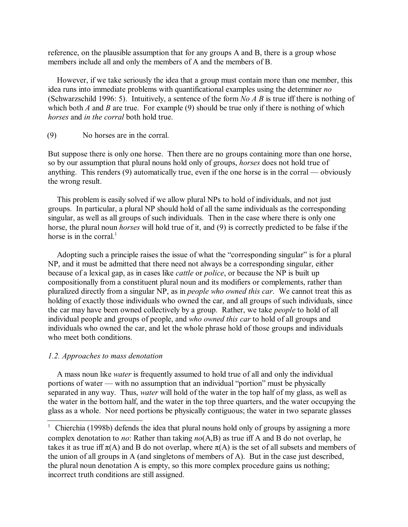reference, on the plausible assumption that for any groups A and B, there is a group whose members include all and only the members of A and the members of B.

However, if we take seriously the idea that a group must contain more than one member, this idea runs into immediate problems with quantificational examples using the determiner *no* (Schwarzschild 1996: 5). Intuitively, a sentence of the form *No A B* is true iff there is nothing of which both *A* and *B* are true. For example (9) should be true only if there is nothing of which *horses* and *in the corral* both hold true.

(9) No horses are in the corral.

But suppose there is only one horse. Then there are no groups containing more than one horse, so by our assumption that plural nouns hold only of groups, *horses* does not hold true of anything. This renders (9) automatically true, even if the one horse is in the corral — obviously the wrong result.

This problem is easily solved if we allow plural NPs to hold of individuals, and not just groups. In particular, a plural NP should hold of all the same individuals as the corresponding singular, as well as all groups of such individuals. Then in the case where there is only one horse, the plural noun *horses* will hold true of it, and (9) is correctly predicted to be false if the horse is in the corral. $<sup>1</sup>$ </sup>

Adopting such a principle raises the issue of what the "corresponding singular" is for a plural NP, and it must be admitted that there need not always be a corresponding singular, either because of a lexical gap, as in cases like *cattle* or *police*, or because the NP is built up compositionally from a constituent plural noun and its modifiers or complements, rather than pluralized directly from a singular NP, as in *people who owned this car*. We cannot treat this as holding of exactly those individuals who owned the car, and all groups of such individuals, since the car may have been owned collectively by a group. Rather, we take *people* to hold of all individual people and groups of people, and *who owned this car* to hold of all groups and individuals who owned the car, and let the whole phrase hold of those groups and individuals who meet both conditions.

#### *1.2. Approaches to mass denotation*

A mass noun like *water* is frequently assumed to hold true of all and only the individual portions of water — with no assumption that an individual "portion" must be physically separated in any way. Thus, *water* will hold of the water in the top half of my glass, as well as the water in the bottom half, and the water in the top three quarters, and the water occupying the glass as a whole. Nor need portions be physically contiguous; the water in two separate glasses

<sup>&</sup>lt;sup>1</sup> Chierchia (1998b) defends the idea that plural nouns hold only of groups by assigning a more complex denotation to *no*: Rather than taking *no*(A,B) as true iff A and B do not overlap, he takes it as true iff  $\pi(A)$  and B do not overlap, where  $\pi(A)$  is the set of all subsets and members of the union of all groups in A (and singletons of members of A). But in the case just described, the plural noun denotation A is empty, so this more complex procedure gains us nothing; incorrect truth conditions are still assigned.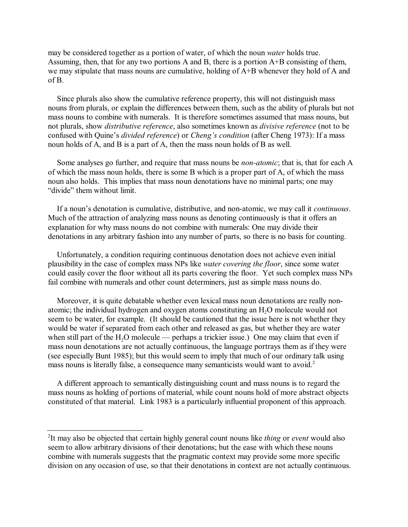may be considered together as a portion of water, of which the noun *water* holds true. Assuming, then, that for any two portions A and B, there is a portion A+B consisting of them, we may stipulate that mass nouns are cumulative, holding of A+B whenever they hold of A and of B.

Since plurals also show the cumulative reference property, this will not distinguish mass nouns from plurals, or explain the differences between them, such as the ability of plurals but not mass nouns to combine with numerals. It is therefore sometimes assumed that mass nouns, but not plurals, show *distributive reference*, also sometimes known as *divisive reference* (not to be confused with Quine's *divided reference*) or *Cheng's condition* (after Cheng 1973): If a mass noun holds of A, and B is a part of A, then the mass noun holds of B as well.

Some analyses go further, and require that mass nouns be *non-atomic*; that is, that for each A of which the mass noun holds, there is some B which is a proper part of A, of which the mass noun also holds. This implies that mass noun denotations have no minimal parts; one may "divide" them without limit.

If a noun's denotation is cumulative, distributive, and non-atomic, we may call it *continuous*. Much of the attraction of analyzing mass nouns as denoting continuously is that it offers an explanation for why mass nouns do not combine with numerals: One may divide their denotations in any arbitrary fashion into any number of parts, so there is no basis for counting.

Unfortunately, a condition requiring continuous denotation does not achieve even initial plausibility in the case of complex mass NPs like *water covering the floor*, since some water could easily cover the floor without all its parts covering the floor. Yet such complex mass NPs fail combine with numerals and other count determiners, just as simple mass nouns do.

Moreover, it is quite debatable whether even lexical mass noun denotations are really nonatomic; the individual hydrogen and oxygen atoms constituting an  $H_2O$  molecule would not seem to be water, for example. (It should be cautioned that the issue here is not whether they would be water if separated from each other and released as gas, but whether they are water when still part of the  $H_2O$  molecule — perhaps a trickier issue.) One may claim that even if mass noun denotations are not actually continuous, the language portrays them as if they were (see especially Bunt 1985); but this would seem to imply that much of our ordinary talk using mass nouns is literally false, a consequence many semanticists would want to avoid.<sup>2</sup>

A different approach to semantically distinguishing count and mass nouns is to regard the mass nouns as holding of portions of material, while count nouns hold of more abstract objects constituted of that material. Link 1983 is a particularly influential proponent of this approach.

<sup>&</sup>lt;sup>2</sup>It may also be objected that certain highly general count nouns like *thing* or *event* would also seem to allow arbitrary divisions of their denotations; but the ease with which these nouns combine with numerals suggests that the pragmatic context may provide some more specific division on any occasion of use, so that their denotations in context are not actually continuous.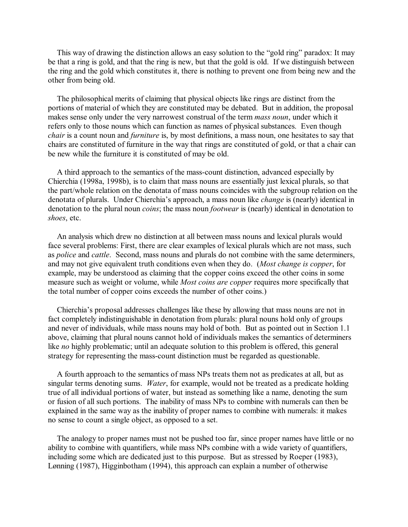This way of drawing the distinction allows an easy solution to the "gold ring" paradox: It may be that a ring is gold, and that the ring is new, but that the gold is old. If we distinguish between the ring and the gold which constitutes it, there is nothing to prevent one from being new and the other from being old.

The philosophical merits of claiming that physical objects like rings are distinct from the portions of material of which they are constituted may be debated. But in addition, the proposal makes sense only under the very narrowest construal of the term *mass noun*, under which it refers only to those nouns which can function as names of physical substances. Even though *chair* is a count noun and *furniture* is, by most definitions, a mass noun, one hesitates to say that chairs are constituted of furniture in the way that rings are constituted of gold, or that a chair can be new while the furniture it is constituted of may be old.

A third approach to the semantics of the mass-count distinction, advanced especially by Chierchia (1998a, 1998b), is to claim that mass nouns are essentially just lexical plurals, so that the part/whole relation on the denotata of mass nouns coincides with the subgroup relation on the denotata of plurals. Under Chierchia's approach, a mass noun like *change* is (nearly) identical in denotation to the plural noun *coins*; the mass noun *footwear* is (nearly) identical in denotation to *shoes*, etc.

An analysis which drew no distinction at all between mass nouns and lexical plurals would face several problems: First, there are clear examples of lexical plurals which are not mass, such as *police* and *cattle*. Second, mass nouns and plurals do not combine with the same determiners, and may not give equivalent truth conditions even when they do. (*Most change is copper*, for example, may be understood as claiming that the copper coins exceed the other coins in some measure such as weight or volume, while *Most coins are copper* requires more specifically that the total number of copper coins exceeds the number of other coins.)

Chierchia's proposal addresses challenges like these by allowing that mass nouns are not in fact completely indistinguishable in denotation from plurals: plural nouns hold only of groups and never of individuals, while mass nouns may hold of both. But as pointed out in Section 1.1 above, claiming that plural nouns cannot hold of individuals makes the semantics of determiners like *no* highly problematic; until an adequate solution to this problem is offered, this general strategy for representing the mass-count distinction must be regarded as questionable.

A fourth approach to the semantics of mass NPs treats them not as predicates at all, but as singular terms denoting sums. *Water*, for example, would not be treated as a predicate holding true of all individual portions of water, but instead as something like a name, denoting the sum or fusion of all such portions. The inability of mass NPs to combine with numerals can then be explained in the same way as the inability of proper names to combine with numerals: it makes no sense to count a single object, as opposed to a set.

The analogy to proper names must not be pushed too far, since proper names have little or no ability to combine with quantifiers, while mass NPs combine with a wide variety of quantifiers, including some which are dedicated just to this purpose. But as stressed by Roeper (1983), Lønning (1987), Higginbotham (1994), this approach can explain a number of otherwise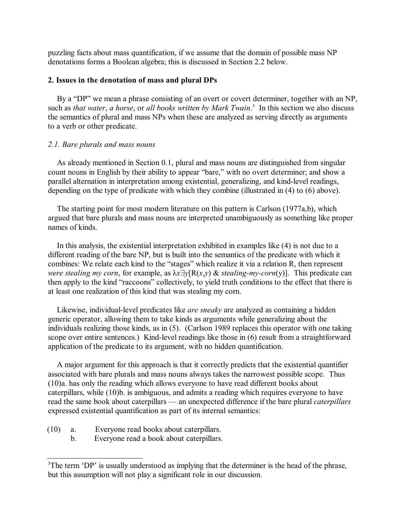puzzling facts about mass quantification, if we assume that the domain of possible mass NP denotations forms a Boolean algebra; this is discussed in Section 2.2 below.

### **2. Issues in the denotation of mass and plural DPs**

By a "DP" we mean a phrase consisting of an overt or covert determiner, together with an NP, such as *that water*, *a horse*, or *all books written by Mark Twain*.<sup>3</sup> In this section we also discuss the semantics of plural and mass NPs when these are analyzed as serving directly as arguments to a verb or other predicate.

#### *2.1. Bare plurals and mass nouns*

As already mentioned in Section 0.1, plural and mass nouns are distinguished from singular count nouns in English by their ability to appear "bare," with no overt determiner; and show a parallel alternation in interpretation among existential, generalizing, and kind-level readings, depending on the type of predicate with which they combine (illustrated in (4) to (6) above).

The starting point for most modern literature on this pattern is Carlson (1977a,b), which argued that bare plurals and mass nouns are interpreted unambiguously as something like proper names of kinds.

In this analysis, the existential interpretation exhibited in examples like (4) is not due to a different reading of the bare NP, but is built into the semantics of the predicate with which it combines: We relate each kind to the "stages" which realize it via a relation R, then represent *were stealing my corn*, for example, as  $\lambda x \exists y[R(x,y) \&$  *stealing-my-corn*(y)]. This predicate can then apply to the kind "raccoons" collectively, to yield truth conditions to the effect that there is at least one realization of this kind that was stealing my corn.

Likewise, individual-level predicates like *are sneaky* are analyzed as containing a hidden generic operator, allowing them to take kinds as arguments while generalizing about the individuals realizing those kinds, as in (5). (Carlson 1989 replaces this operator with one taking scope over entire sentences.) Kind-level readings like those in (6) result from a straightforward application of the predicate to its argument, with no hidden quantification.

A major argument for this approach is that it correctly predicts that the existential quantifier associated with bare plurals and mass nouns always takes the narrowest possible scope. Thus (10)a. has only the reading which allows everyone to have read different books about caterpillars, while (10)b. is ambiguous, and admits a reading which requires everyone to have read the same book about caterpillars — an unexpected difference if the bare plural *caterpillars* expressed existential quantification as part of its internal semantics:

- (10) a. Everyone read books about caterpillars.
	- b. Everyone read a book about caterpillars.

 $3$ The term 'DP' is usually understood as implying that the determiner is the head of the phrase, but this assumption will not play a significant role in our discussion.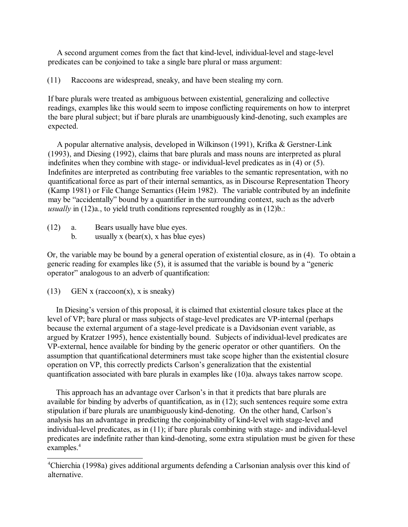A second argument comes from the fact that kind-level, individual-level and stage-level predicates can be conjoined to take a single bare plural or mass argument:

(11) Raccoons are widespread, sneaky, and have been stealing my corn.

If bare plurals were treated as ambiguous between existential, generalizing and collective readings, examples like this would seem to impose conflicting requirements on how to interpret the bare plural subject; but if bare plurals are unambiguously kind-denoting, such examples are expected.

A popular alternative analysis, developed in Wilkinson (1991), Krifka & Gerstner-Link (1993), and Diesing (1992), claims that bare plurals and mass nouns are interpreted as plural indefinites when they combine with stage- or individual-level predicates as in (4) or (5). Indefinites are interpreted as contributing free variables to the semantic representation, with no quantificational force as part of their internal semantics, as in Discourse Representation Theory (Kamp 1981) or File Change Semantics (Heim 1982). The variable contributed by an indefinite may be "accidentally" bound by a quantifier in the surrounding context, such as the adverb *usually* in (12)a., to yield truth conditions represented roughly as in (12)b.:

- (12) a. Bears usually have blue eyes.
	- b. usually x (bear(x), x has blue eyes)

Or, the variable may be bound by a general operation of existential closure, as in (4). To obtain a generic reading for examples like (5), it is assumed that the variable is bound by a "generic operator" analogous to an adverb of quantification:

(13) GEN x (raccoon(x), x is sneaky)

In Diesing's version of this proposal, it is claimed that existential closure takes place at the level of VP; bare plural or mass subjects of stage-level predicates are VP-internal (perhaps because the external argument of a stage-level predicate is a Davidsonian event variable, as argued by Kratzer 1995), hence existentially bound. Subjects of individual-level predicates are VP-external, hence available for binding by the generic operator or other quantifiers. On the assumption that quantificational determiners must take scope higher than the existential closure operation on VP, this correctly predicts Carlson's generalization that the existential quantification associated with bare plurals in examples like (10)a. always takes narrow scope.

This approach has an advantage over Carlson's in that it predicts that bare plurals are available for binding by adverbs of quantification, as in (12); such sentences require some extra stipulation if bare plurals are unambiguously kind-denoting. On the other hand, Carlson's analysis has an advantage in predicting the conjoinability of kind-level with stage-level and individual-level predicates, as in (11); if bare plurals combining with stage- and individual-level predicates are indefinite rather than kind-denoting, some extra stipulation must be given for these examples.<sup>4</sup>

Chierchia (1998a) gives additional arguments defending a Carlsonian analysis over this kind of <sup>4</sup> alternative.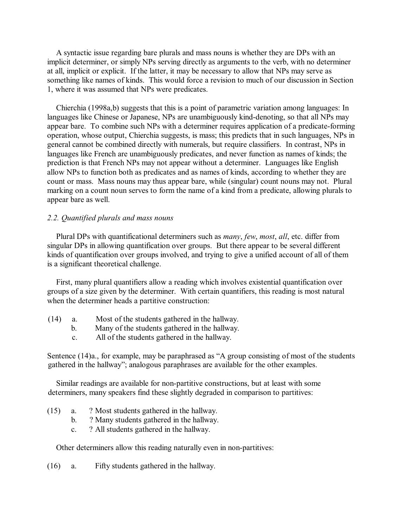A syntactic issue regarding bare plurals and mass nouns is whether they are DPs with an implicit determiner, or simply NPs serving directly as arguments to the verb, with no determiner at all, implicit or explicit. If the latter, it may be necessary to allow that NPs may serve as something like names of kinds. This would force a revision to much of our discussion in Section 1, where it was assumed that NPs were predicates.

Chierchia (1998a,b) suggests that this is a point of parametric variation among languages: In languages like Chinese or Japanese, NPs are unambiguously kind-denoting, so that all NPs may appear bare. To combine such NPs with a determiner requires application of a predicate-forming operation, whose output, Chierchia suggests, is mass; this predicts that in such languages, NPs in general cannot be combined directly with numerals, but require classifiers. In contrast, NPs in languages like French are unambiguously predicates, and never function as names of kinds; the prediction is that French NPs may not appear without a determiner. Languages like English allow NPs to function both as predicates and as names of kinds, according to whether they are count or mass. Mass nouns may thus appear bare, while (singular) count nouns may not. Plural marking on a count noun serves to form the name of a kind from a predicate, allowing plurals to appear bare as well.

#### *2.2. Quantified plurals and mass nouns*

Plural DPs with quantificational determiners such as *many*, *few*, *most*, *all*, etc. differ from singular DPs in allowing quantification over groups. But there appear to be several different kinds of quantification over groups involved, and trying to give a unified account of all of them is a significant theoretical challenge.

First, many plural quantifiers allow a reading which involves existential quantification over groups of a size given by the determiner. With certain quantifiers, this reading is most natural when the determiner heads a partitive construction:

- (14) a. Most of the students gathered in the hallway.
	- b. Many of the students gathered in the hallway.
	- c. All of the students gathered in the hallway.

Sentence (14)a., for example, may be paraphrased as "A group consisting of most of the students gathered in the hallway"; analogous paraphrases are available for the other examples.

Similar readings are available for non-partitive constructions, but at least with some determiners, many speakers find these slightly degraded in comparison to partitives:

- (15) a. ? Most students gathered in the hallway.
	- b. ? Many students gathered in the hallway.
	- c. ? All students gathered in the hallway.

Other determiners allow this reading naturally even in non-partitives:

(16) a. Fifty students gathered in the hallway.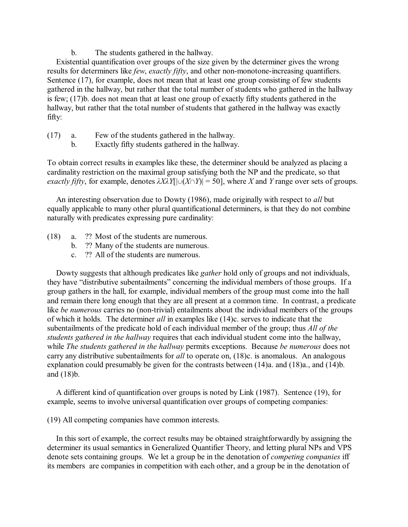b. The students gathered in the hallway.

Existential quantification over groups of the size given by the determiner gives the wrong results for determiners like *few*, *exactly fifty*, and other non-monotone-increasing quantifiers. Sentence (17), for example, does not mean that at least one group consisting of few students gathered in the hallway, but rather that the total number of students who gathered in the hallway is few; (17)b. does not mean that at least one group of exactly fifty students gathered in the hallway, but rather that the total number of students that gathered in the hallway was exactly fifty:

- (17) a. Few of the students gathered in the hallway.
	- b. Exactly fifty students gathered in the hallway.

To obtain correct results in examples like these, the determiner should be analyzed as placing a cardinality restriction on the maximal group satisfying both the NP and the predicate, so that *exactly fifty*, for example, denotes  $\lambda$ *X* $\lambda$ *Y*[| $\cup$ (*X* $\cap$ *Y*)| = 50], where *X* and *Y* range over sets of groups.

An interesting observation due to Dowty (1986), made originally with respect to *all* but equally applicable to many other plural quantificational determiners, is that they do not combine naturally with predicates expressing pure cardinality:

- (18) a. ?? Most of the students are numerous.
	- b. ?? Many of the students are numerous.
	- c. ?? All of the students are numerous.

Dowty suggests that although predicates like *gather* hold only of groups and not individuals, they have "distributive subentailments" concerning the individual members of those groups. If a group gathers in the hall, for example, individual members of the group must come into the hall and remain there long enough that they are all present at a common time. In contrast, a predicate like *be numerous* carries no (non-trivial) entailments about the individual members of the groups of which it holds. The determiner *all* in examples like (14)c. serves to indicate that the subentailments of the predicate hold of each individual member of the group; thus *All of the students gathered in the hallway* requires that each individual student come into the hallway, while *The students gathered in the hallway* permits exceptions. Because *be numerous* does not carry any distributive subentailments for *all* to operate on, (18)c. is anomalous. An analogous explanation could presumably be given for the contrasts between (14)a. and (18)a., and (14)b. and (18)b.

A different kind of quantification over groups is noted by Link (1987). Sentence (19), for example, seems to involve universal quantification over groups of competing companies:

(19) All competing companies have common interests.

In this sort of example, the correct results may be obtained straightforwardly by assigning the determiner its usual semantics in Generalized Quantifier Theory, and letting plural NPs and VPS denote sets containing groups. We let a group be in the denotation of *competing companies* iff its members are companies in competition with each other, and a group be in the denotation of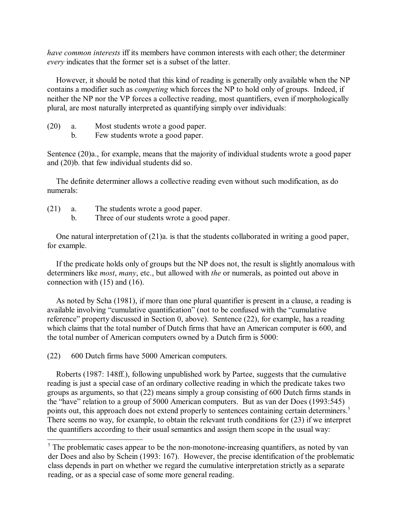*have common interests* iff its members have common interests with each other; the determiner *every* indicates that the former set is a subset of the latter.

However, it should be noted that this kind of reading is generally only available when the NP contains a modifier such as *competing* which forces the NP to hold only of groups. Indeed, if neither the NP nor the VP forces a collective reading, most quantifiers, even if morphologically plural, are most naturally interpreted as quantifying simply over individuals:

- (20) a. Most students wrote a good paper.
	- b. Few students wrote a good paper.

Sentence (20)a., for example, means that the majority of individual students wrote a good paper and (20)b. that few individual students did so.

The definite determiner allows a collective reading even without such modification, as do numerals:

- (21) a. The students wrote a good paper.
	- b. Three of our students wrote a good paper.

One natural interpretation of (21)a. is that the students collaborated in writing a good paper, for example.

If the predicate holds only of groups but the NP does not, the result is slightly anomalous with determiners like *most*, *many*, etc., but allowed with *the* or numerals, as pointed out above in connection with (15) and (16).

As noted by Scha (1981), if more than one plural quantifier is present in a clause, a reading is available involving "cumulative quantification" (not to be confused with the "cumulative reference" property discussed in Section 0, above). Sentence (22), for example, has a reading which claims that the total number of Dutch firms that have an American computer is 600, and the total number of American computers owned by a Dutch firm is 5000:

(22) 600 Dutch firms have 5000 American computers.

Roberts (1987: 148ff.), following unpublished work by Partee, suggests that the cumulative reading is just a special case of an ordinary collective reading in which the predicate takes two groups as arguments, so that (22) means simply a group consisting of 600 Dutch firms stands in the "have" relation to a group of 5000 American computers. But as van der Does (1993:545) points out, this approach does not extend properly to sentences containing certain determiners.<sup>5</sup> There seems no way, for example, to obtain the relevant truth conditions for (23) if we interpret the quantifiers according to their usual semantics and assign them scope in the usual way:

 $\delta$ . The problematic cases appear to be the non-monotone-increasing quantifiers, as noted by van der Does and also by Schein (1993: 167). However, the precise identification of the problematic class depends in part on whether we regard the cumulative interpretation strictly as a separate reading, or as a special case of some more general reading.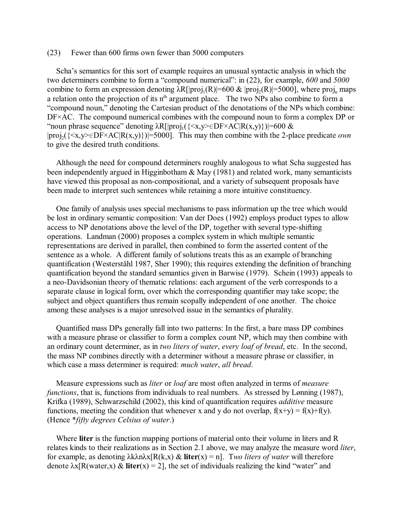#### (23) Fewer than 600 firms own fewer than 5000 computers

Scha's semantics for this sort of example requires an unusual syntactic analysis in which the two determiners combine to form a "compound numerical": in (22), for example, *600* and *5000* combine to form an expression denoting  $\lambda R[|proj_1(R)|=600 \& |proj_2(R)|=5000]$ , where proj<sub>n</sub> maps a relation onto the projection of its  $n^{\text{th}}$  argument place. The two NPs also combine to form a "compound noun," denoting the Cartesian product of the denotations of the NPs which combine: DF×AC. The compound numerical combines with the compound noun to form a complex DP or "noun phrase sequence" denoting  $\lambda R[|proj_1({\{\langle x,y \rangle \in DF \times AC | R(x,y) \}})|=600$  &  $|proj_2({\{\le}x,y\ge}\in DF\times AC|R(x,y)\})|=5000]$ . This may then combine with the 2-place predicate *own* to give the desired truth conditions.

Although the need for compound determiners roughly analogous to what Scha suggested has been independently argued in Higginbotham & May (1981) and related work, many semanticists have viewed this proposal as non-compositional, and a variety of subsequent proposals have been made to interpret such sentences while retaining a more intuitive constituency.

One family of analysis uses special mechanisms to pass information up the tree which would be lost in ordinary semantic composition: Van der Does (1992) employs product types to allow access to NP denotations above the level of the DP, together with several type-shifting operations. Landman (2000) proposes a complex system in which multiple semantic representations are derived in parallel, then combined to form the asserted content of the sentence as a whole. A different family of solutions treats this as an example of branching quantification (Westerståhl 1987, Sher 1990); this requires extending the definition of branching quantification beyond the standard semantics given in Barwise (1979). Schein (1993) appeals to a neo-Davidsonian theory of thematic relations: each argument of the verb corresponds to a separate clause in logical form, over which the corresponding quantifier may take scope; the subject and object quantifiers thus remain scopally independent of one another. The choice among these analyses is a major unresolved issue in the semantics of plurality.

Quantified mass DPs generally fall into two patterns: In the first, a bare mass DP combines with a measure phrase or classifier to form a complex count NP, which may then combine with an ordinary count determiner, as in *two liters of water*, *every loaf of bread*, etc. In the second, the mass NP combines directly with a determiner without a measure phrase or classifier, in which case a mass determiner is required: *much water*, *all bread*.

Measure expressions such as *liter* or *loaf* are most often analyzed in terms of *measure functions*, that is, functions from individuals to real numbers. As stressed by Lønning (1987), Krifka (1989), Schwarzschild (2002), this kind of quantification requires *additive* measure functions, meeting the condition that whenever x and y do not overlap,  $f(x+y) = f(x)+f(y)$ . (Hence \**fifty degrees Celsius of water*.)

Where **liter** is the function mapping portions of material onto their volume in liters and R relates kinds to their realizations as in Section 2.1 above, we may analyze the measure word *liter*, for example, as denoting  $\lambda k \lambda n \lambda x [R(k, x) \& \text{liter}(x) = n]$ . Two liters of water will therefore denote  $\lambda x[R(\text{water},x) \& \text{liter}(x) = 2]$ , the set of individuals realizing the kind "water" and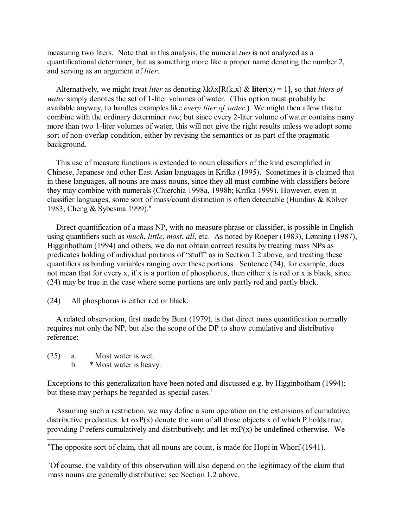measuring two liters. Note that in this analysis, the numeral *two* is not analyzed as a quantificational determiner, but as something more like a proper name denoting the number 2, and serving as an argument of *liter*.

Alternatively, we might treat *liter* as denoting  $\lambda k \lambda x [R(k, x) \& \text{ liter}(x) = 1]$ , so that *liters of water* simply denotes the set of 1-liter volumes of water. (This option must probably be available anyway, to handles examples like *every liter of water*.) We might then allow this to combine with the ordinary determiner *two*; but since every 2-liter volume of water contains many more than two 1-liter volumes of water, this will not give the right results unless we adopt some sort of non-overlap condition, either by revising the semantics or as part of the pragmatic background.

This use of measure functions is extended to noun classifiers of the kind exemplified in Chinese, Japanese and other East Asian languages in Krifka (1995). Sometimes it is claimed that in these languages, all nouns are mass nouns, since they all must combine with classifiers before they may combine with numerals (Chierchia 1998a, 1998b; Krifka 1999). However, even in classifier languages, some sort of mass/count distinction is often detectable (Hundius & Kölver 1983, Cheng & Sybesma 1999).<sup>6</sup>

Direct quantification of a mass NP, with no measure phrase or classifier, is possible in English using quantifiers such as *much*, *little*, *most*, *all*, etc. As noted by Roeper (1983), Lønning (1987), Higginbotham (1994) and others, we do not obtain correct results by treating mass NPs as predicates holding of individual portions of "stuff" as in Section 1.2 above, and treating these quantifiers as binding variables ranging over these portions. Sentence (24), for example, does not mean that for every x, if x is a portion of phosphorus, then either x is red or x is black, since (24) may be true in the case where some portions are only partly red and partly black.

(24) All phosphorus is either red or black.

A related observation, first made by Bunt (1979), is that direct mass quantification normally requires not only the NP, but also the scope of the DP to show cumulative and distributive reference:

- (25) a. Most water is wet.
	- b. \* Most water is heavy.

Exceptions to this generalization have been noted and discussed e.g. by Higginbotham (1994); but these may perhaps be regarded as special cases.<sup>7</sup>

Assuming such a restriction, we may define a sum operation on the extensions of cumulative, distributive predicates: let  $\sigma xP(x)$  denote the sum of all those objects x of which P holds true, providing P refers cumulatively and distributively; and let  $\sigma xP(x)$  be undefined otherwise. We

<sup>7</sup>Of course, the validity of this observation will also depend on the legitimacy of the claim that mass nouns are generally distributive; see Section 1.2 above.

<sup>&</sup>lt;sup>6</sup>The opposite sort of claim, that all nouns are count, is made for Hopi in Whorf  $(1941)$ .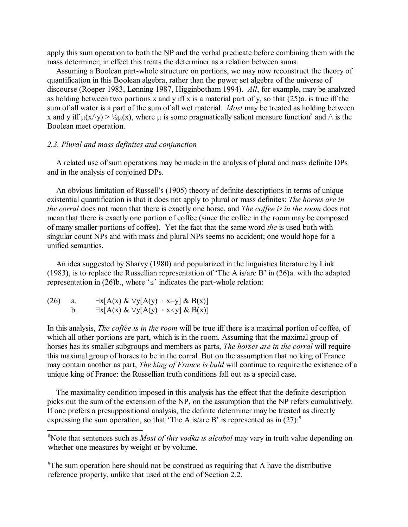apply this sum operation to both the NP and the verbal predicate before combining them with the mass determiner; in effect this treats the determiner as a relation between sums.

Assuming a Boolean part-whole structure on portions, we may now reconstruct the theory of quantification in this Boolean algebra, rather than the power set algebra of the universe of discourse (Roeper 1983, Lønning 1987, Higginbotham 1994). *All*, for example, may be analyzed as holding between two portions x and y iff x is a material part of y, so that  $(25)a$ . is true iff the sum of all water is a part of the sum of all wet material. *Most* may be treated as holding between x and y iff  $\mu(x\wedge y) > \frac{1}{2}\mu(x)$ , where  $\mu$  is some pragmatically salient measure function<sup>8</sup> and  $\wedge$  is the Boolean meet operation.

#### *2.3. Plural and mass definites and conjunction*

A related use of sum operations may be made in the analysis of plural and mass definite DPs and in the analysis of conjoined DPs.

An obvious limitation of Russell's (1905) theory of definite descriptions in terms of unique existential quantification is that it does not apply to plural or mass definites: *The horses are in the corral* does not mean that there is exactly one horse, and *The coffee is in the room* does not mean that there is exactly one portion of coffee (since the coffee in the room may be composed of many smaller portions of coffee). Yet the fact that the same word *the* is used both with singular count NPs and with mass and plural NPs seems no accident; one would hope for a unified semantics.

An idea suggested by Sharvy (1980) and popularized in the linguistics literature by Link (1983), is to replace the Russellian representation of 'The A is/are B' in (26)a. with the adapted representation in (26)b., where ' $\leq$ ' indicates the part-whole relation:

| (26) | $\exists x[A(x) \& \forall y[A(y) \rightarrow x=y] \& B(x)]$      |
|------|-------------------------------------------------------------------|
|      | $\exists x[A(x) \& \forall y[A(y) \rightarrow x \leq y] \& B(x)]$ |

In this analysis, *The coffee is in the room* will be true iff there is a maximal portion of coffee, of which all other portions are part, which is in the room. Assuming that the maximal group of horses has its smaller subgroups and members as parts, *The horses are in the corral* will require this maximal group of horses to be in the corral. But on the assumption that no king of France may contain another as part, *The king of France is bald* will continue to require the existence of a unique king of France: the Russellian truth conditions fall out as a special case.

The maximality condition imposed in this analysis has the effect that the definite description picks out the sum of the extension of the NP, on the assumption that the NP refers cumulatively. If one prefers a presuppositional analysis, the definite determiner may be treated as directly expressing the sum operation, so that 'The A is/are B' is represented as in  $(27)$ :<sup>9</sup>

<sup>&</sup>lt;sup>8</sup>Note that sentences such as *Most of this vodka is alcohol* may vary in truth value depending on whether one measures by weight or by volume.

 $\rm{P}$ The sum operation here should not be construed as requiring that A have the distributive reference property, unlike that used at the end of Section 2.2.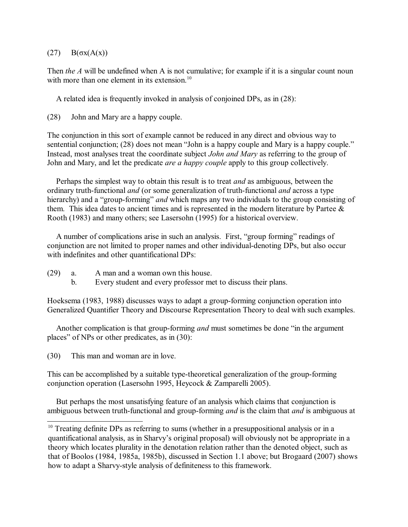# $(27)$  B( $\sigma$ x(A(x))

Then *the A* will be undefined when A is not cumulative; for example if it is a singular count noun with more than one element in its extension.<sup>10</sup>

A related idea is frequently invoked in analysis of conjoined DPs, as in (28):

(28) John and Mary are a happy couple.

The conjunction in this sort of example cannot be reduced in any direct and obvious way to sentential conjunction; (28) does not mean "John is a happy couple and Mary is a happy couple." Instead, most analyses treat the coordinate subject *John and Mary* as referring to the group of John and Mary, and let the predicate *are a happy couple* apply to this group collectively.

Perhaps the simplest way to obtain this result is to treat *and* as ambiguous, between the ordinary truth-functional *and* (or some generalization of truth-functional *and* across a type hierarchy) and a "group-forming" *and* which maps any two individuals to the group consisting of them. This idea dates to ancient times and is represented in the modern literature by Partee & Rooth (1983) and many others; see Lasersohn (1995) for a historical overview.

A number of complications arise in such an analysis. First, "group forming" readings of conjunction are not limited to proper names and other individual-denoting DPs, but also occur with indefinites and other quantificational DPs:

- (29) a. A man and a woman own this house.
	- b. Every student and every professor met to discuss their plans.

Hoeksema (1983, 1988) discusses ways to adapt a group-forming conjunction operation into Generalized Quantifier Theory and Discourse Representation Theory to deal with such examples.

Another complication is that group-forming *and* must sometimes be done "in the argument places" of NPs or other predicates, as in (30):

(30) This man and woman are in love.

This can be accomplished by a suitable type-theoretical generalization of the group-forming conjunction operation (Lasersohn 1995, Heycock & Zamparelli 2005).

But perhaps the most unsatisfying feature of an analysis which claims that conjunction is ambiguous between truth-functional and group-forming *and* is the claim that *and* is ambiguous at

 $10$  Treating definite DPs as referring to sums (whether in a presuppositional analysis or in a quantificational analysis, as in Sharvy's original proposal) will obviously not be appropriate in a theory which locates plurality in the denotation relation rather than the denoted object, such as that of Boolos (1984, 1985a, 1985b), discussed in Section 1.1 above; but Brogaard (2007) shows how to adapt a Sharvy-style analysis of definiteness to this framework.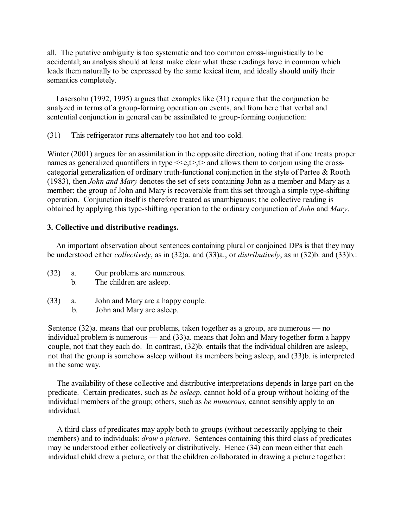all. The putative ambiguity is too systematic and too common cross-linguistically to be accidental; an analysis should at least make clear what these readings have in common which leads them naturally to be expressed by the same lexical item, and ideally should unify their semantics completely.

Lasersohn (1992, 1995) argues that examples like (31) require that the conjunction be analyzed in terms of a group-forming operation on events, and from here that verbal and sentential conjunction in general can be assimilated to group-forming conjunction:

(31) This refrigerator runs alternately too hot and too cold.

Winter (2001) argues for an assimilation in the opposite direction, noting that if one treats proper names as generalized quantifiers in type  $\leq \epsilon, t$ ,  $t$  and allows them to conjoin using the crosscategorial generalization of ordinary truth-functional conjunction in the style of Partee & Rooth (1983), then *John and Mary* denotes the set of sets containing John as a member and Mary as a member; the group of John and Mary is recoverable from this set through a simple type-shifting operation. Conjunction itself is therefore treated as unambiguous; the collective reading is obtained by applying this type-shifting operation to the ordinary conjunction of *John* and *Mary*.

# **3. Collective and distributive readings.**

An important observation about sentences containing plural or conjoined DPs is that they may be understood either *collectively*, as in (32)a. and (33)a., or *distributively*, as in (32)b. and (33)b.:

| (32) |    | Our problems are numerous. |
|------|----|----------------------------|
|      | b. | The children are asleep.   |

- (33) a. John and Mary are a happy couple.
	- b. John and Mary are asleep.

Sentence  $(32)a$ , means that our problems, taken together as a group, are numerous — no individual problem is numerous — and (33)a. means that John and Mary together form a happy couple, not that they each do. In contrast, (32)b. entails that the individual children are asleep, not that the group is somehow asleep without its members being asleep, and (33)b. is interpreted in the same way.

The availability of these collective and distributive interpretations depends in large part on the predicate. Certain predicates, such as *be asleep*, cannot hold of a group without holding of the individual members of the group; others, such as *be numerous*, cannot sensibly apply to an individual.

A third class of predicates may apply both to groups (without necessarily applying to their members) and to individuals: *draw a picture*. Sentences containing this third class of predicates may be understood either collectively or distributively. Hence (34) can mean either that each individual child drew a picture, or that the children collaborated in drawing a picture together: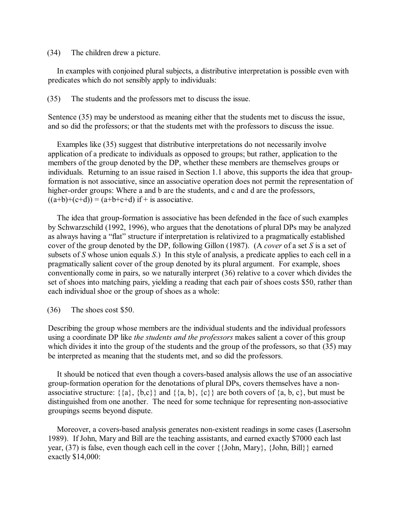(34) The children drew a picture.

In examples with conjoined plural subjects, a distributive interpretation is possible even with predicates which do not sensibly apply to individuals:

(35) The students and the professors met to discuss the issue.

Sentence (35) may be understood as meaning either that the students met to discuss the issue, and so did the professors; or that the students met with the professors to discuss the issue.

Examples like (35) suggest that distributive interpretations do not necessarily involve application of a predicate to individuals as opposed to groups; but rather, application to the members of the group denoted by the DP, whether these members are themselves groups or individuals. Returning to an issue raised in Section 1.1 above, this supports the idea that groupformation is not associative, since an associative operation does not permit the representation of higher-order groups: Where a and b are the students, and c and d are the professors,  $((a+b)+(c+d)) = (a+b+c+d)$  if + is associative.

The idea that group-formation is associative has been defended in the face of such examples by Schwarzschild (1992, 1996), who argues that the denotations of plural DPs may be analyzed as always having a "flat" structure if interpretation is relativized to a pragmatically established cover of the group denoted by the DP, following Gillon (1987). (A *cover* of a set *S* is a set of subsets of *S* whose union equals *S*.) In this style of analysis, a predicate applies to each cell in a pragmatically salient cover of the group denoted by its plural argument. For example, shoes conventionally come in pairs, so we naturally interpret (36) relative to a cover which divides the set of shoes into matching pairs, yielding a reading that each pair of shoes costs \$50, rather than each individual shoe or the group of shoes as a whole:

(36) The shoes cost \$50.

Describing the group whose members are the individual students and the individual professors using a coordinate DP like *the students and the professors* makes salient a cover of this group which divides it into the group of the students and the group of the professors, so that (35) may be interpreted as meaning that the students met, and so did the professors.

It should be noticed that even though a covers-based analysis allows the use of an associative group-formation operation for the denotations of plural DPs, covers themselves have a nonassociative structure:  $\{\{a\}, \{b,c\}\}\$  and  $\{\{a, b\}, \{c\}\}\$  are both covers of  $\{a, b, c\}$ , but must be distinguished from one another. The need for some technique for representing non-associative groupings seems beyond dispute.

Moreover, a covers-based analysis generates non-existent readings in some cases (Lasersohn 1989). If John, Mary and Bill are the teaching assistants, and earned exactly \$7000 each last year, (37) is false, even though each cell in the cover {{John, Mary}, {John, Bill}} earned exactly \$14,000: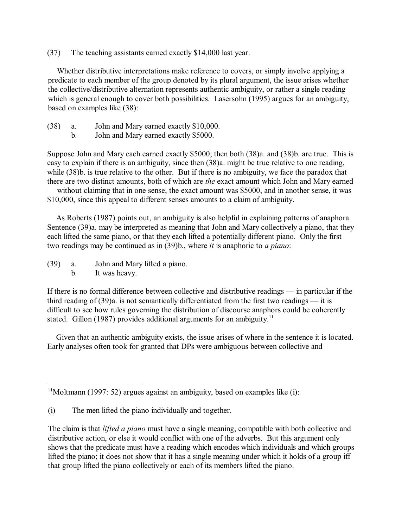(37) The teaching assistants earned exactly \$14,000 last year.

Whether distributive interpretations make reference to covers, or simply involve applying a predicate to each member of the group denoted by its plural argument, the issue arises whether the collective/distributive alternation represents authentic ambiguity, or rather a single reading which is general enough to cover both possibilities. Lasersohn (1995) argues for an ambiguity, based on examples like (38):

- (38) a. John and Mary earned exactly \$10,000.
	- b. John and Mary earned exactly \$5000.

Suppose John and Mary each earned exactly \$5000; then both (38)a. and (38)b. are true. This is easy to explain if there is an ambiguity, since then (38)a. might be true relative to one reading, while (38)b. is true relative to the other. But if there is no ambiguity, we face the paradox that there are two distinct amounts, both of which are *the* exact amount which John and Mary earned — without claiming that in one sense, the exact amount was \$5000, and in another sense, it was \$10,000, since this appeal to different senses amounts to a claim of ambiguity.

As Roberts (1987) points out, an ambiguity is also helpful in explaining patterns of anaphora. Sentence (39)a. may be interpreted as meaning that John and Mary collectively a piano, that they each lifted the same piano, or that they each lifted a potentially different piano. Only the first two readings may be continued as in (39)b., where *it* is anaphoric to *a piano*:

- (39) a. John and Mary lifted a piano.
	- b. It was heavy.

If there is no formal difference between collective and distributive readings — in particular if the third reading of (39)a. is not semantically differentiated from the first two readings — it is difficult to see how rules governing the distribution of discourse anaphors could be coherently stated. Gillon (1987) provides additional arguments for an ambiguity.<sup>11</sup>

Given that an authentic ambiguity exists, the issue arises of where in the sentence it is located. Early analyses often took for granted that DPs were ambiguous between collective and

 $11$ Moltmann (1997: 52) argues against an ambiguity, based on examples like (i):

<sup>(</sup>i) The men lifted the piano individually and together.

The claim is that *lifted a piano* must have a single meaning, compatible with both collective and distributive action, or else it would conflict with one of the adverbs. But this argument only shows that the predicate must have a reading which encodes which individuals and which groups lifted the piano; it does not show that it has a single meaning under which it holds of a group iff that group lifted the piano collectively or each of its members lifted the piano.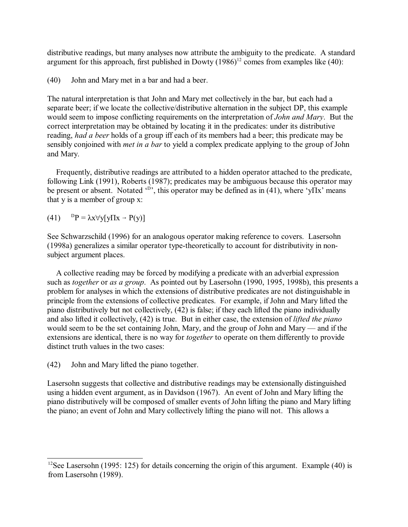distributive readings, but many analyses now attribute the ambiguity to the predicate. A standard argument for this approach, first published in Dowty  $(1986)^{12}$  comes from examples like (40):

(40) John and Mary met in a bar and had a beer.

The natural interpretation is that John and Mary met collectively in the bar, but each had a separate beer; if we locate the collective/distributive alternation in the subject DP, this example would seem to impose conflicting requirements on the interpretation of *John and Mary*. But the correct interpretation may be obtained by locating it in the predicates: under its distributive reading, *had a beer* holds of a group iff each of its members had a beer; this predicate may be sensibly conjoined with *met in a bar* to yield a complex predicate applying to the group of John and Mary.

Frequently, distributive readings are attributed to a hidden operator attached to the predicate, following Link (1991), Roberts (1987); predicates may be ambiguous because this operator may be present or absent. Notated  $\langle \vec{v} \rangle$ , this operator may be defined as in (41), where  $\langle y \rangle$ Ix' means that y is a member of group x:

(41)  $P = \lambda x \forall y[y \Pi x - P(y)]$ 

See Schwarzschild (1996) for an analogous operator making reference to covers. Lasersohn (1998a) generalizes a similar operator type-theoretically to account for distributivity in nonsubject argument places.

A collective reading may be forced by modifying a predicate with an adverbial expression such as *together* or *as a group*. As pointed out by Lasersohn (1990, 1995, 1998b), this presents a problem for analyses in which the extensions of distributive predicates are not distinguishable in principle from the extensions of collective predicates. For example, if John and Mary lifted the piano distributively but not collectively, (42) is false; if they each lifted the piano individually and also lifted it collectively, (42) is true. But in either case, the extension of *lifted the piano* would seem to be the set containing John, Mary, and the group of John and Mary — and if the extensions are identical, there is no way for *together* to operate on them differently to provide distinct truth values in the two cases:

(42) John and Mary lifted the piano together.

Lasersohn suggests that collective and distributive readings may be extensionally distinguished using a hidden event argument, as in Davidson (1967). An event of John and Mary lifting the piano distributively will be composed of smaller events of John lifting the piano and Mary lifting the piano; an event of John and Mary collectively lifting the piano will not. This allows a

<sup>&</sup>lt;sup>12</sup>See Lasersohn (1995: 125) for details concerning the origin of this argument. Example (40) is from Lasersohn (1989).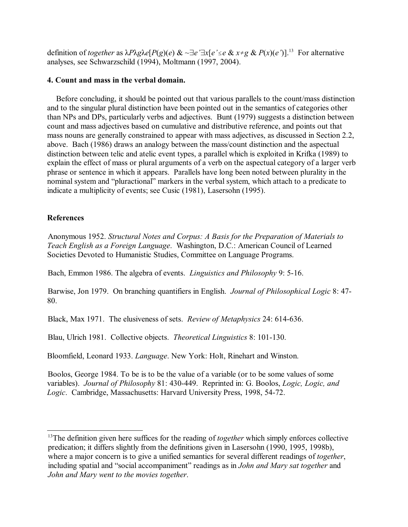definition of *together* as  $\lambda P \lambda g \lambda e[P(g](e) \& \sim \exists e' \exists x [e' \le e \& x \ne g \& P(x)(e')]$ .<sup>13</sup> For alternative analyses, see Schwarzschild (1994), Moltmann (1997, 2004).

### **4. Count and mass in the verbal domain.**

Before concluding, it should be pointed out that various parallels to the count/mass distinction and to the singular plural distinction have been pointed out in the semantics of categories other than NPs and DPs, particularly verbs and adjectives. Bunt (1979) suggests a distinction between count and mass adjectives based on cumulative and distributive reference, and points out that mass nouns are generally constrained to appear with mass adjectives, as discussed in Section 2.2, above. Bach (1986) draws an analogy between the mass/count distinction and the aspectual distinction between telic and atelic event types, a parallel which is exploited in Krifka (1989) to explain the effect of mass or plural arguments of a verb on the aspectual category of a larger verb phrase or sentence in which it appears. Parallels have long been noted between plurality in the nominal system and "pluractional" markers in the verbal system, which attach to a predicate to indicate a multiplicity of events; see Cusic (1981), Lasersohn (1995).

# **References**

Anonymous 1952. *Structural Notes and Corpus: A Basis for the Preparation of Materials to Teach English as a Foreign Language*. Washington, D.C.: American Council of Learned Societies Devoted to Humanistic Studies, Committee on Language Programs.

Bach, Emmon 1986. The algebra of events. *Linguistics and Philosophy* 9: 5-16.

Barwise, Jon 1979. On branching quantifiers in English. *Journal of Philosophical Logic* 8: 47- 80.

Black, Max 1971. The elusiveness of sets. *Review of Metaphysics* 24: 614-636.

Blau, Ulrich 1981. Collective objects. *Theoretical Linguistics* 8: 101-130.

Bloomfield, Leonard 1933. *Language*. New York: Holt, Rinehart and Winston.

Boolos, George 1984. To be is to be the value of a variable (or to be some values of some variables). *Journal of Philosophy* 81: 430-449. Reprinted in: G. Boolos, *Logic, Logic, and Logic*. Cambridge, Massachusetts: Harvard University Press, 1998, 54-72.

<sup>&</sup>lt;sup>13</sup>The definition given here suffices for the reading of *together* which simply enforces collective predication; it differs slightly from the definitions given in Lasersohn (1990, 1995, 1998b), where a major concern is to give a unified semantics for several different readings of *together*, including spatial and "social accompaniment" readings as in *John and Mary sat together* and *John and Mary went to the movies together*.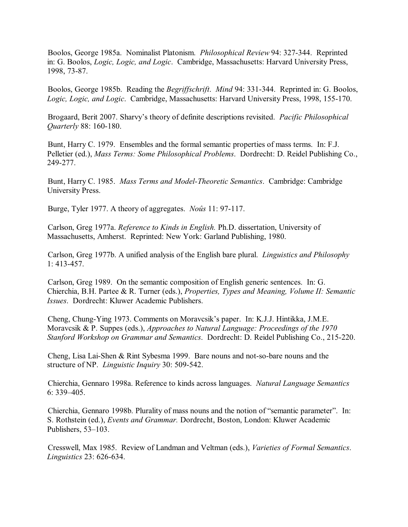Boolos, George 1985a. Nominalist Platonism. *Philosophical Review* 94: 327-344. Reprinted in: G. Boolos, *Logic, Logic, and Logic*. Cambridge, Massachusetts: Harvard University Press, 1998, 73-87.

Boolos, George 1985b. Reading the *Begriffschrift*. *Mind* 94: 331-344. Reprinted in: G. Boolos, *Logic, Logic, and Logic*. Cambridge, Massachusetts: Harvard University Press, 1998, 155-170.

Brogaard, Berit 2007. Sharvy's theory of definite descriptions revisited. *Pacific Philosophical Quarterly* 88: 160-180.

Bunt, Harry C. 1979. Ensembles and the formal semantic properties of mass terms. In: F.J. Pelletier (ed.), *Mass Terms: Some Philosophical Problems*. Dordrecht: D. Reidel Publishing Co., 249-277.

Bunt, Harry C. 1985. *Mass Terms and Model-Theoretic Semantics*. Cambridge: Cambridge University Press.

Burge, Tyler 1977. A theory of aggregates. *Noûs* 11: 97-117.

Carlson, Greg 1977a. *Reference to Kinds in English.* Ph.D. dissertation, University of Massachusetts, Amherst. Reprinted: New York: Garland Publishing, 1980.

Carlson, Greg 1977b. A unified analysis of the English bare plural. *Linguistics and Philosophy* 1: 413-457.

Carlson, Greg 1989. On the semantic composition of English generic sentences. In: G. Chierchia, B.H. Partee & R. Turner (eds.), *Properties, Types and Meaning, Volume II: Semantic Issues*. Dordrecht: Kluwer Academic Publishers.

Cheng, Chung-Ying 1973. Comments on Moravcsik's paper. In: K.J.J. Hintikka, J.M.E. Moravcsik & P. Suppes (eds.), *Approaches to Natural Language: Proceedings of the 1970 Stanford Workshop on Grammar and Semantics*. Dordrecht: D. Reidel Publishing Co., 215-220.

Cheng, Lisa Lai-Shen & Rint Sybesma 1999. Bare nouns and not-so-bare nouns and the structure of NP. *Linguistic Inquiry* 30: 509-542.

Chierchia, Gennaro 1998a. Reference to kinds across languages. *Natural Language Semantics* 6: 339–405.

Chierchia, Gennaro 1998b. Plurality of mass nouns and the notion of "semantic parameter". In: S. Rothstein (ed.), *Events and Grammar.* Dordrecht, Boston, London: Kluwer Academic Publishers, 53–103.

Cresswell, Max 1985. Review of Landman and Veltman (eds.), *Varieties of Formal Semantics*. *Linguistics* 23: 626-634.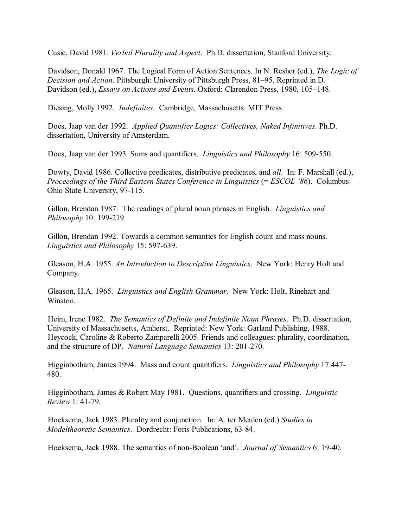Cusic, David 1981. *Verbal Plurality and Aspect*. Ph.D. dissertation, Stanford University.

Davidson, Donald 1967. The Logical Form of Action Sentences. In N. Resher (ed.), *The Logic of Decision and Action*. Pittsburgh: University of Pittsburgh Press, 81–95. Reprinted in D. Davidson (ed.), *Essays on Actions and Events*. Oxford: Clarendon Press, 1980, 105–148.

Diesing, Molly 1992. *Indefinites*. Cambridge, Massachusetts: MIT Press.

Does, Jaap van der 1992. *Applied Quantifier Logics: Collectives, Naked Infinitives*. Ph.D. dissertation, University of Amsterdam.

Does, Jaap van der 1993. Sums and quantifiers. *Linguistics and Philosophy* 16: 509-550.

Dowty, David 1986. Collective predicates, distributive predicates, and *all*. In: F. Marshall (ed.), *Proceedings of the Third Eastern States Conference in Linguistics* (= *ESCOL '86*). Columbus: Ohio State University, 97-115.

Gillon, Brendan 1987. The readings of plural noun phrases in English. *Linguistics and Philosophy* 10: 199-219.

Gillon, Brendan 1992. Towards a common semantics for English count and mass nouns. *Linguistics and Philosophy* 15: 597-639.

Gleason, H.A. 1955. *An Introduction to Descriptive Linguistics*. New York: Henry Holt and Company.

Gleason, H.A. 1965. *Linguistics and English Grammar*. New York: Holt, Rinehart and Winston.

Heim, Irene 1982. *The Semantics of Definite and Indefinite Noun Phrases*. Ph.D. dissertation, University of Massachusetts, Amherst. Reprinted: New York: Garland Publishing, 1988. Heycock, Caroline & Roberto Zamparelli 2005. Friends and colleagues: plurality, coordination, and the structure of DP. *Natural Language Semantics* 13: 201-270.

Higginbotham, James 1994. Mass and count quantifiers. *Linguistics and Philosophy* 17:447- 480.

Higginbotham, James & Robert May 1981. Questions, quantifiers and crossing. *Linguistic Review* 1: 41-79.

Hoeksema, Jack 1983. Plurality and conjunction. In: A. ter Meulen (ed.) *Studies in Modeltheoretic Semantics*. Dordrecht: Foris Publications, 63-84.

Hoeksema, Jack 1988. The semantics of non-Boolean 'and'. *Journal of Semantics* 6: 19-40.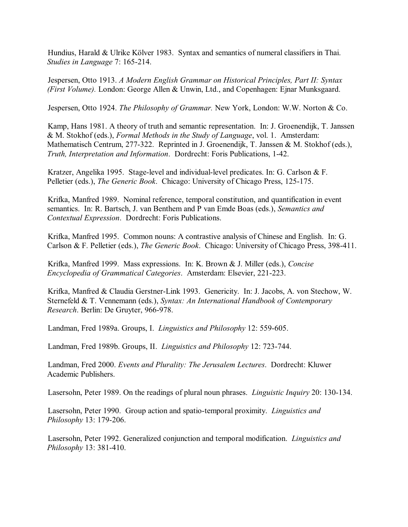Hundius, Harald & Ulrike Kölver 1983. Syntax and semantics of numeral classifiers in Thai. *Studies in Language* 7: 165-214.

Jespersen, Otto 1913. *A Modern English Grammar on Historical Principles, Part II: Syntax (First Volume).* London: George Allen & Unwin, Ltd., and Copenhagen: Ejnar Munksgaard.

Jespersen, Otto 1924. *The Philosophy of Grammar.* New York, London: W.W. Norton & Co.

Kamp, Hans 1981. A theory of truth and semantic representation. In: J. Groenendijk, T. Janssen & M. Stokhof (eds.), *Formal Methods in the Study of Language*, vol. 1. Amsterdam: Mathematisch Centrum, 277-322. Reprinted in J. Groenendijk, T. Janssen & M. Stokhof (eds.), *Truth, Interpretation and Information*. Dordrecht: Foris Publications, 1-42.

Kratzer, Angelika 1995. Stage-level and individual-level predicates. In: G. Carlson & F. Pelletier (eds.), *The Generic Book*. Chicago: University of Chicago Press, 125-175.

Krifka, Manfred 1989. Nominal reference, temporal constitution, and quantification in event semantics. In: R. Bartsch, J. van Benthem and P van Emde Boas (eds.), *Semantics and Contextual Expression*. Dordrecht: Foris Publications.

Krifka, Manfred 1995. Common nouns: A contrastive analysis of Chinese and English. In: G. Carlson & F. Pelletier (eds.), *The Generic Book*. Chicago: University of Chicago Press, 398-411.

Krifka, Manfred 1999. Mass expressions. In: K. Brown & J. Miller (eds.), *Concise Encyclopedia of Grammatical Categories*. Amsterdam: Elsevier, 221-223.

Krifka, Manfred & Claudia Gerstner-Link 1993. Genericity. In: J. Jacobs, A. von Stechow, W. Sternefeld & T. Vennemann (eds.), *Syntax: An International Handbook of Contemporary Research*. Berlin: De Gruyter, 966-978.

Landman, Fred 1989a. Groups, I. *Linguistics and Philosophy* 12: 559-605.

Landman, Fred 1989b. Groups, II. *Linguistics and Philosophy* 12: 723-744.

Landman, Fred 2000. *Events and Plurality: The Jerusalem Lectures*. Dordrecht: Kluwer Academic Publishers.

Lasersohn, Peter 1989. On the readings of plural noun phrases. *Linguistic Inquiry* 20: 130-134.

Lasersohn, Peter 1990. Group action and spatio-temporal proximity. *Linguistics and Philosophy* 13: 179-206.

Lasersohn, Peter 1992. Generalized conjunction and temporal modification. *Linguistics and Philosophy* 13: 381-410.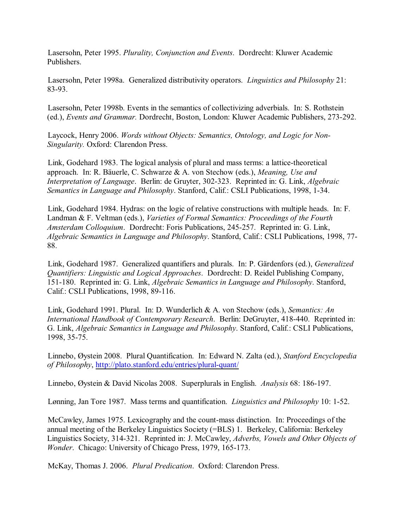Lasersohn, Peter 1995. *Plurality, Conjunction and Events*. Dordrecht: Kluwer Academic Publishers.

Lasersohn, Peter 1998a. Generalized distributivity operators. *Linguistics and Philosophy* 21: 83-93.

Lasersohn, Peter 1998b. Events in the semantics of collectivizing adverbials. In: S. Rothstein (ed.), *Events and Grammar.* Dordrecht, Boston, London: Kluwer Academic Publishers, 273-292.

Laycock, Henry 2006. *Words without Objects: Semantics, Ontology, and Logic for Non-Singularity.* Oxford: Clarendon Press.

Link, Godehard 1983. The logical analysis of plural and mass terms: a lattice-theoretical approach. In: R. Bäuerle, C. Schwarze & A. von Stechow (eds.), *Meaning, Use and Interpretation of Language*. Berlin: de Gruyter, 302-323. Reprinted in: G. Link, *Algebraic Semantics in Language and Philosophy*. Stanford, Calif.: CSLI Publications, 1998, 1-34.

Link, Godehard 1984. Hydras: on the logic of relative constructions with multiple heads. In: F. Landman & F. Veltman (eds.), *Varieties of Formal Semantics: Proceedings of the Fourth Amsterdam Colloquium*. Dordrecht: Foris Publications, 245-257. Reprinted in: G. Link, *Algebraic Semantics in Language and Philosophy*. Stanford, Calif.: CSLI Publications, 1998, 77- 88.

Link, Godehard 1987. Generalized quantifiers and plurals. In: P. Gärdenfors (ed.), *Generalized Quantifiers: Linguistic and Logical Approaches*. Dordrecht: D. Reidel Publishing Company, 151-180. Reprinted in: G. Link, *Algebraic Semantics in Language and Philosophy*. Stanford, Calif.: CSLI Publications, 1998, 89-116.

Link, Godehard 1991. Plural. In: D. Wunderlich & A. von Stechow (eds.), *Semantics: An International Handbook of Contemporary Research*. Berlin: DeGruyter, 418-440. Reprinted in: G. Link, *Algebraic Semantics in Language and Philosophy*. Stanford, Calif.: CSLI Publications, 1998, 35-75.

Linnebo, Øystein 2008. Plural Quantification. In: Edward N. Zalta (ed.), *Stanford Encyclopedia of Philosophy*, http://plato.stanford.edu/entries/plural-quant/

Linnebo, Øystein & David Nicolas 2008. Superplurals in English. *Analysis* 68: 186-197.

Lønning, Jan Tore 1987. Mass terms and quantification. *Linguistics and Philosophy* 10: 1-52.

McCawley, James 1975. Lexicography and the count-mass distinction. In: Proceedings of the annual meeting of the Berkeley Linguistics Society (=BLS) 1. Berkeley, California: Berkeley Linguistics Society, 314-321. Reprinted in: J. McCawley, *Adverbs, Vowels and Other Objects of Wonder*. Chicago: University of Chicago Press, 1979, 165-173.

McKay, Thomas J. 2006. *Plural Predication*. Oxford: Clarendon Press.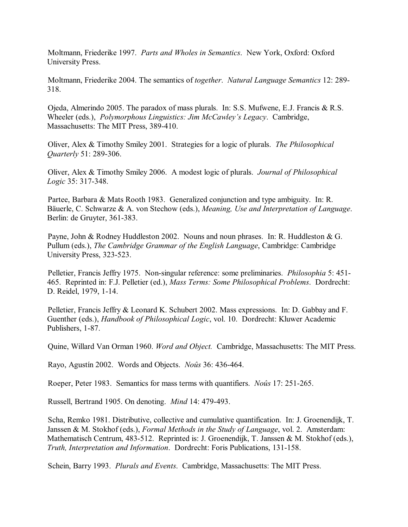Moltmann, Friederike 1997. *Parts and Wholes in Semantics*. New York, Oxford: Oxford University Press.

Moltmann, Friederike 2004. The semantics of *together*. *Natural Language Semantics* 12: 289- 318.

Ojeda, Almerindo 2005. The paradox of mass plurals. In: S.S. Mufwene, E.J. Francis & R.S. Wheeler (eds.), *Polymorphous Linguistics: Jim McCawley's Legacy*. Cambridge, Massachusetts: The MIT Press, 389-410.

Oliver, Alex & Timothy Smiley 2001. Strategies for a logic of plurals. *The Philosophical Quarterly* 51: 289-306.

Oliver, Alex & Timothy Smiley 2006. A modest logic of plurals. *Journal of Philosophical Logic* 35: 317-348.

Partee, Barbara & Mats Rooth 1983. Generalized conjunction and type ambiguity. In: R. Bäuerle, C. Schwarze & A. von Stechow (eds.), *Meaning, Use and Interpretation of Language*. Berlin: de Gruyter, 361-383.

Payne, John & Rodney Huddleston 2002. Nouns and noun phrases. In: R. Huddleston & G. Pullum (eds.), *The Cambridge Grammar of the English Language*, Cambridge: Cambridge University Press, 323-523.

Pelletier, Francis Jeffry 1975. Non-singular reference: some preliminaries. *Philosophia* 5: 451- 465. Reprinted in: F.J. Pelletier (ed.), *Mass Terms: Some Philosophical Problems*. Dordrecht: D. Reidel, 1979, 1-14.

Pelletier, Francis Jeffry & Leonard K. Schubert 2002. Mass expressions. In: D. Gabbay and F. Guenther (eds.), *Handbook of Philosophical Logic*, vol. 10. Dordrecht: Kluwer Academic Publishers, 1-87.

Quine, Willard Van Orman 1960. *Word and Object.* Cambridge, Massachusetts: The MIT Press.

Rayo, Agustín 2002. Words and Objects. *Noûs* 36: 436-464.

Roeper, Peter 1983. Semantics for mass terms with quantifiers. *Noûs* 17: 251-265.

Russell, Bertrand 1905. On denoting. *Mind* 14: 479-493.

Scha, Remko 1981. Distributive, collective and cumulative quantification. In: J. Groenendijk, T. Janssen & M. Stokhof (eds.), *Formal Methods in the Study of Language*, vol. 2. Amsterdam: Mathematisch Centrum, 483-512. Reprinted is: J. Groenendijk, T. Janssen & M. Stokhof (eds.), *Truth, Interpretation and Information*. Dordrecht: Foris Publications, 131-158.

Schein, Barry 1993. *Plurals and Events*. Cambridge, Massachusetts: The MIT Press.